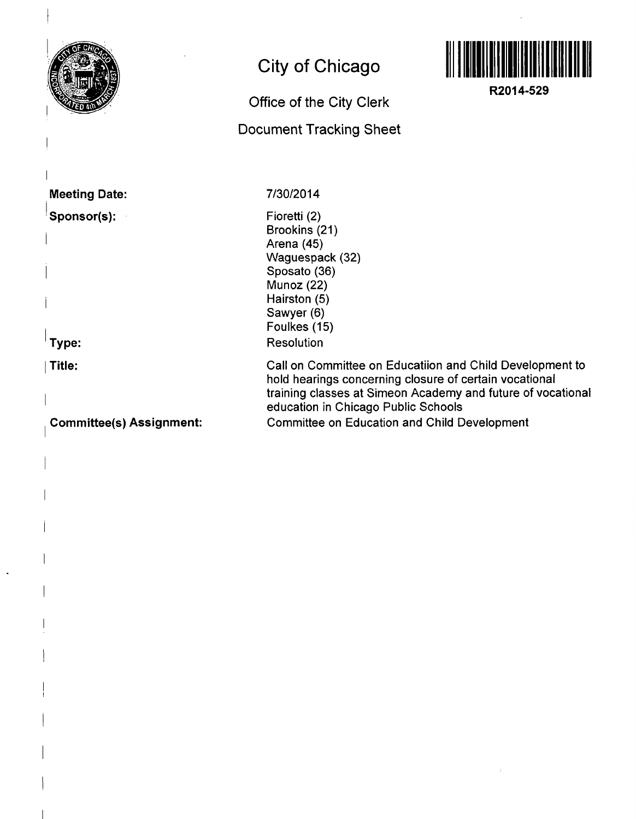

**Committee(s) Assignment:**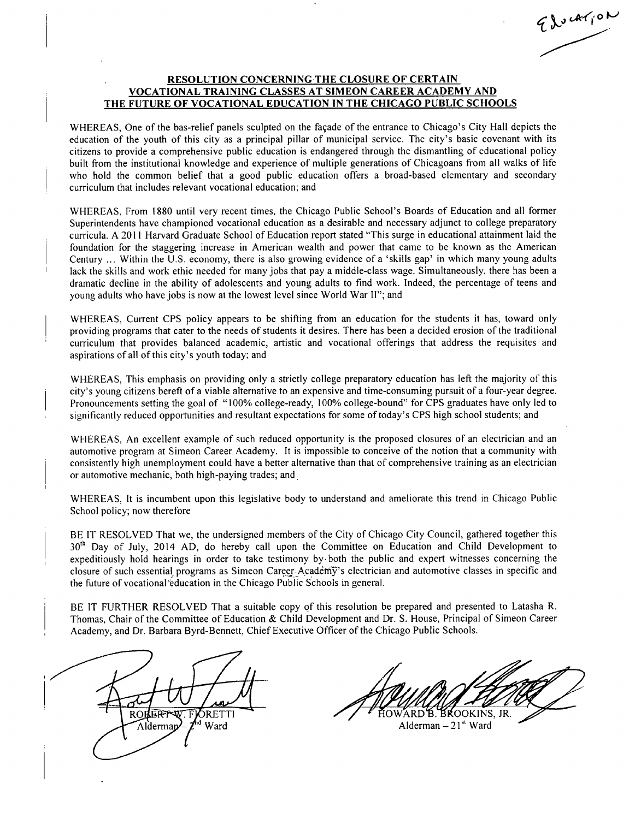Education

## **RESOLUTION CONCERNING THE CLOSURE OF CERTAIN VOCATIONAL TRAINING CLASSES AT SIMEON CAREER ACADEMY AND THE FUTURE OF VOCATIONAL EDUCATION IN THE CHICAGO PUBLIC SCHOOLS**

WHEREAS, One of the bas-relief panels sculpted on the façade of the entrance to Chicago's City Hall depicts the education of the youth of this city as a principal pillar of municipal service. The city's basic covenant with its citizens to provide a comprehensive public education is endangered through the dismantling of educational policy built from the institutional knowledge and experience of multiple generations of Chicagoans from all walks of life who hold the common belief that a good public education offers a broad-based elementary and secondary curriculum that includes relevant vocational education; and

WHEREAS, From 1880 until very recent times, the Chicago Public School's Boards of Education and all former Superintendents have championed vocational education as a desirable and necessary adjunct to college preparatory curricula. A 2011 Harvard Graduate School of Education report stated "This surge in educational attainment laid the foundation for the staggering increase in American wealth and power that came to be known as the American Century ... Within the U.S. economy, there is also growing evidence of a 'skills gap' in which many young adults lack the skills and work ethic needed for many jobs that pay a middle-class wage. Simultaneously, there has been a dramatic decline in the ability of adolescents and young adults to find work. Indeed, the percentage of teens and young adults who have jobs is now at the lowest level since World War II"; and

WHEREAS, Current CPS policy appears to be shifting from an education for the students it has, toward only providing programs that cater to the needs of students it desires. There has been a decided erosion of the traditional curriculum that provides balanced academic, artistic and vocational offerings that address the requisites and aspirations of all of this city's youth today; and

WHEREAS, This emphasis on providing only a strictly college preparatory education has left the majority of this city's young citizens bereft of a viable alternative to an expensive and time-consuming pursuit of a four-year degree. Pronouncements setting the goal of "100% college-ready, 100% college-bound" for CPS graduates have only led to significantly reduced opportunities and resultant expectations for some of today's CPS high school students; and

WHEREAS, An excellent example of such reduced opportunity is the proposed closures of an electrician and an automotive program at Simeon Career Academy. It is impossible to conceive of the notion that a community with consistently high unemployment could have a better alternative than that of comprehensive training as an electrician or automotive mechanic, both high-paying trades; and

WHEREAS, It is incumbent upon this legislative body to understand and ameliorate this trend in Chicago Public School policy; now therefore

BE IT RESOLVED That we, the undersigned members of the City of Chicago City Council, gathered together this 30<sup>th</sup> Day of July, 2014 AD, do hereby call upon the Committee on Education and Child Development to expeditiously hold hearings in order to take testimony by both the public and expert witnesses concerning the closure of such essential programs as Simeon Career Academy's electrician and automotive classes in specific and the future of vocational 'education in the Chicago Public Schools in general.

BE IT FURTHER RESOLVED That a suitable copy of this resolution be prepared and presented to Latasha R. Thomas, Chair of the Committee of Education & Child Development and Dr. S. House, Principal of Simeon Career Academy, and Dr. Barbara Byrd-Bennett, Chief Executive Officer of the Chicago Public Schools.

**ROH W.FJORETTI** <sup>Ind</sup> Ward Aldermap

IOWARD B. BROOKINS, JR.

Alderman – 21<sup>st</sup> Ward